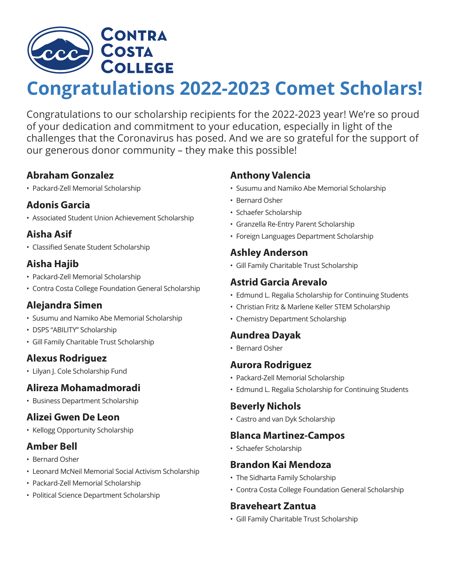

# **Congratulations 2022-2023 Comet Scholars!**

Congratulations to our scholarship recipients for the 2022-2023 year! We're so proud of your dedication and commitment to your education, especially in light of the challenges that the Coronavirus has posed. And we are so grateful for the support of our generous donor community – they make this possible!

#### **Abraham Gonzalez**

• Packard-Zell Memorial Scholarship

#### **Adonis Garcia**

• Associated Student Union Achievement Scholarship

# **Aisha Asif**

• Classified Senate Student Scholarship

## **Aisha Hajib**

- Packard-Zell Memorial Scholarship
- Contra Costa College Foundation General Scholarship

## **Alejandra Simen**

- Susumu and Namiko Abe Memorial Scholarship
- DSPS "ABILITY" Scholarship
- Gill Family Charitable Trust Scholarship

# **Alexus Rodriguez**

• Lilyan J. Cole Scholarship Fund

# **Alireza Mohamadmoradi**

• Business Department Scholarship

## **Alizei Gwen De Leon**

• Kellogg Opportunity Scholarship

## **Amber Bell**

- Bernard Osher
- Leonard McNeil Memorial Social Activism Scholarship
- Packard-Zell Memorial Scholarship
- Political Science Department Scholarship

## **Anthony Valencia**

- Susumu and Namiko Abe Memorial Scholarship
- Bernard Osher
- Schaefer Scholarship
- Granzella Re-Entry Parent Scholarship
- Foreign Languages Department Scholarship

# **Ashley Anderson**

• Gill Family Charitable Trust Scholarship

## **Astrid Garcia Arevalo**

- Edmund L. Regalia Scholarship for Continuing Students
- Christian Fritz & Marlene Keller STEM Scholarship
- Chemistry Department Scholarship

## **Aundrea Dayak**

• Bernard Osher

## **Aurora Rodriguez**

- Packard-Zell Memorial Scholarship
- Edmund L. Regalia Scholarship for Continuing Students

# **Beverly Nichols**

• Castro and van Dyk Scholarship

# **Blanca Martinez-Campos**

• Schaefer Scholarship

## **Brandon Kai Mendoza**

- The Sidharta Family Scholarship
- Contra Costa College Foundation General Scholarship

# **Braveheart Zantua**

• Gill Family Charitable Trust Scholarship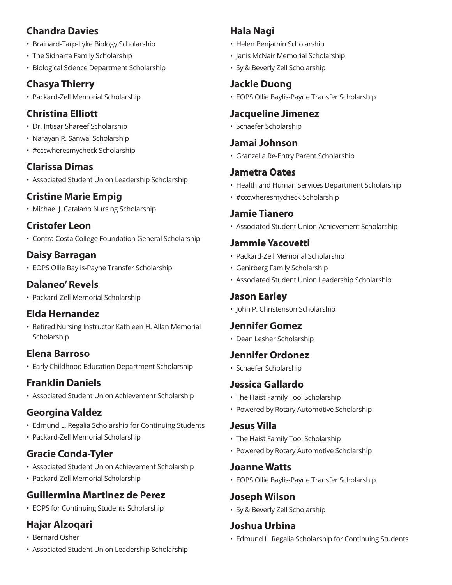# **Chandra Davies**

- Brainard-Tarp-Lyke Biology Scholarship
- The Sidharta Family Scholarship
- Biological Science Department Scholarship

# **Chasya Thierry**

• Packard-Zell Memorial Scholarship

# **Christina Elliott**

- Dr. Intisar Shareef Scholarship
- Narayan R. Sanwal Scholarship
- #cccwheresmycheck Scholarship

# **Clarissa Dimas**

• Associated Student Union Leadership Scholarship

# **Cristine Marie Empig**

• Michael J. Catalano Nursing Scholarship

# **Cristofer Leon**

• Contra Costa College Foundation General Scholarship

## **Daisy Barragan**

• EOPS Ollie Baylis-Payne Transfer Scholarship

## **Dalaneo' Revels**

• Packard-Zell Memorial Scholarship

# **Elda Hernandez**

• Retired Nursing Instructor Kathleen H. Allan Memorial **Scholarship** 

# **Elena Barroso**

• Early Childhood Education Department Scholarship

# **Franklin Daniels**

• Associated Student Union Achievement Scholarship

## **Georgina Valdez**

- Edmund L. Regalia Scholarship for Continuing Students
- Packard-Zell Memorial Scholarship

# **Gracie Conda-Tyler**

- Associated Student Union Achievement Scholarship
- Packard-Zell Memorial Scholarship

# **Guillermina Martinez de Perez**

• EOPS for Continuing Students Scholarship

# **Hajar Alzoqari**

- Bernard Osher
- Associated Student Union Leadership Scholarship

# **Hala Nagi**

- Helen Benjamin Scholarship
- Janis McNair Memorial Scholarship
- Sy & Beverly Zell Scholarship

## **Jackie Duong**

• EOPS Ollie Baylis-Payne Transfer Scholarship

## **Jacqueline Jimenez**

• Schaefer Scholarship

#### **Jamai Johnson**

• Granzella Re-Entry Parent Scholarship

#### **Jametra Oates**

- Health and Human Services Department Scholarship
- #cccwheresmycheck Scholarship

## **Jamie Tianero**

• Associated Student Union Achievement Scholarship

#### **Jammie Yacovetti**

- Packard-Zell Memorial Scholarship
- Genirberg Family Scholarship
- Associated Student Union Leadership Scholarship

# **Jason Earley**

• John P. Christenson Scholarship

#### **Jennifer Gomez**

• Dean Lesher Scholarship

# **Jennifer Ordonez**

• Schaefer Scholarship

# **Jessica Gallardo**

- The Haist Family Tool Scholarship
- Powered by Rotary Automotive Scholarship

#### **Jesus Villa**

- The Haist Family Tool Scholarship
- Powered by Rotary Automotive Scholarship

## **Joanne Watts**

• EOPS Ollie Baylis-Payne Transfer Scholarship

## **Joseph Wilson**

• Sy & Beverly Zell Scholarship

#### **Joshua Urbina**

• Edmund L. Regalia Scholarship for Continuing Students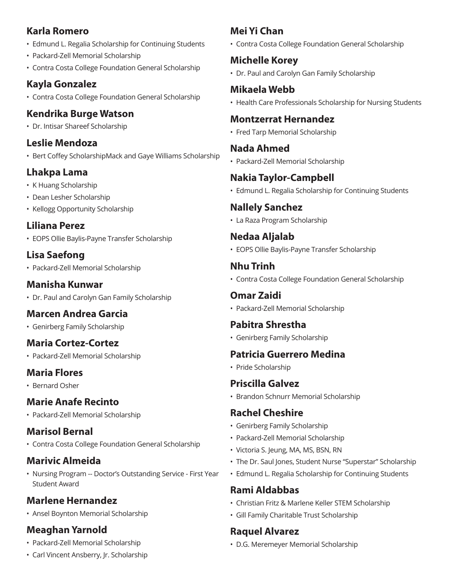## **Karla Romero**

- Edmund L. Regalia Scholarship for Continuing Students
- Packard-Zell Memorial Scholarship
- Contra Costa College Foundation General Scholarship

## **Kayla Gonzalez**

• Contra Costa College Foundation General Scholarship

#### **Kendrika Burge Watson**

• Dr. Intisar Shareef Scholarship

## **Leslie Mendoza**

• Bert Coffey ScholarshipMack and Gaye Williams Scholarship

# **Lhakpa Lama**

- K Huang Scholarship
- Dean Lesher Scholarship
- Kellogg Opportunity Scholarship

## **Liliana Perez**

• EOPS Ollie Baylis-Payne Transfer Scholarship

## **Lisa Saefong**

• Packard-Zell Memorial Scholarship

#### **Manisha Kunwar**

• Dr. Paul and Carolyn Gan Family Scholarship

## **Marcen Andrea Garcia**

• Genirberg Family Scholarship

#### **Maria Cortez-Cortez**

• Packard-Zell Memorial Scholarship

# **Maria Flores**

• Bernard Osher

## **Marie Anafe Recinto**

• Packard-Zell Memorial Scholarship

## **Marisol Bernal**

• Contra Costa College Foundation General Scholarship

## **Marivic Almeida**

• Nursing Program -- Doctor's Outstanding Service - First Year Student Award

## **Marlene Hernandez**

• Ansel Boynton Memorial Scholarship

# **Meaghan Yarnold**

• Packard-Zell Memorial Scholarship

# • Carl Vincent Ansberry, Jr. Scholarship

# **Mei Yi Chan**

• Contra Costa College Foundation General Scholarship

#### **Michelle Korey**

• Dr. Paul and Carolyn Gan Family Scholarship

#### **Mikaela Webb**

• Health Care Professionals Scholarship for Nursing Students

#### **Montzerrat Hernandez**

• Fred Tarp Memorial Scholarship

#### **Nada Ahmed**

• Packard-Zell Memorial Scholarship

# **Nakia Taylor-Campbell**

• Edmund L. Regalia Scholarship for Continuing Students

#### **Nallely Sanchez**

• La Raza Program Scholarship

# **Nedaa Aljalab**

• EOPS Ollie Baylis-Payne Transfer Scholarship

#### **Nhu Trinh**

• Contra Costa College Foundation General Scholarship

## **Omar Zaidi**

• Packard-Zell Memorial Scholarship

## **Pabitra Shrestha**

• Genirberg Family Scholarship

## **Patricia Guerrero Medina**

• Pride Scholarship

# **Priscilla Galvez**

• Brandon Schnurr Memorial Scholarship

## **Rachel Cheshire**

- Genirberg Family Scholarship
- Packard-Zell Memorial Scholarship
- Victoria S. Jeung, MA, MS, BSN, RN
- The Dr. Saul Jones, Student Nurse "Superstar" Scholarship
- Edmund L. Regalia Scholarship for Continuing Students

#### **Rami Aldabbas**

- Christian Fritz & Marlene Keller STEM Scholarship
- Gill Family Charitable Trust Scholarship

## **Raquel Alvarez**

• D.G. Meremeyer Memorial Scholarship